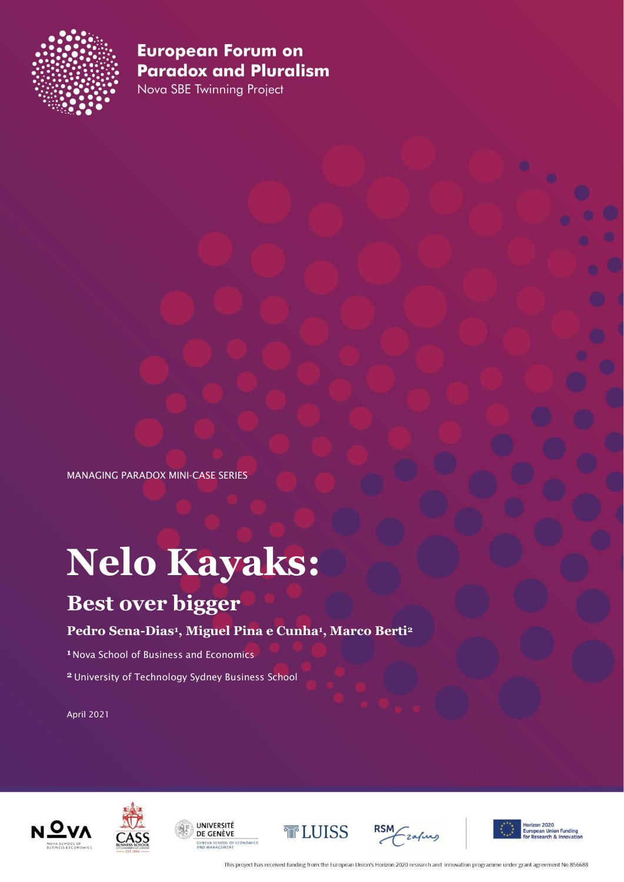

Nova SBE Twinning Project

MANAGING PARADOX MINI-CASE SERIES

# **Nelo Kayaks:**

## **Best over bigger**

#### **Pedro Sena-Dias<sup>1</sup> , Miguel Pina e Cunha<sup>1</sup> , Marco Berti<sup>2</sup>**

**1** Nova School of Business and Economics

**2** University of Technology Sydney Business School

April 2021













This project has received funding from the European Union's Horizon 2020 research and innovation programme under grant agreement No 856688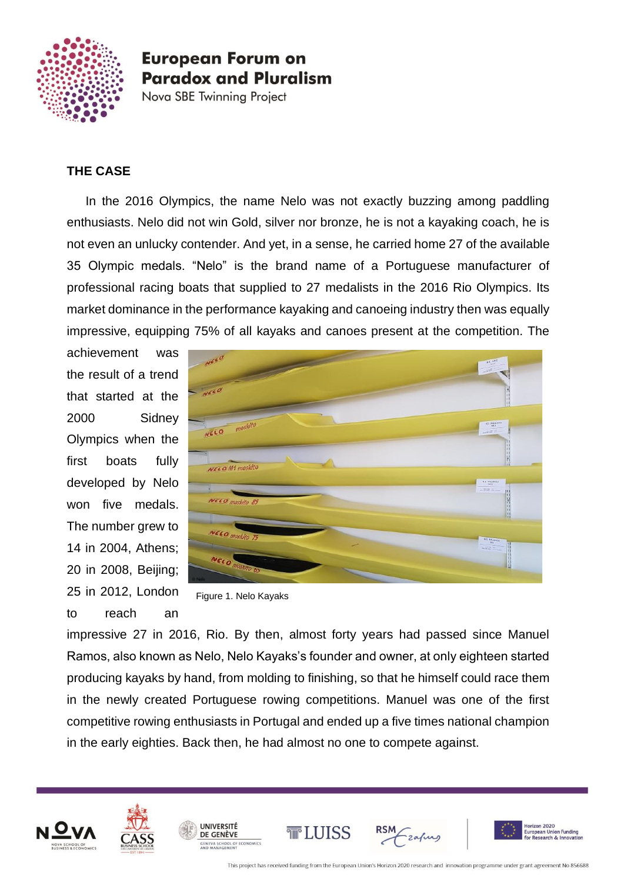

Nova SBE Twinning Project

#### **THE CASE**

In the 2016 Olympics, the name Nelo was not exactly buzzing among paddling enthusiasts. Nelo did not win Gold, silver nor bronze, he is not a kayaking coach, he is not even an unlucky contender. And yet, in a sense, he carried home 27 of the available 35 Olympic medals. "Nelo" is the brand name of a Portuguese manufacturer of professional racing boats that supplied to 27 medalists in the 2016 Rio Olympics. Its market dominance in the performance kayaking and canoeing industry then was equally impressive, equipping 75% of all kayaks and canoes present at the competition. The

achievement was the result of a trend that started at the 2000 Sidney Olympics when the first boats fully developed by Nelo won five medals. The number grew to 14 in 2004, Athens; 20 in 2008, Beijing; 25 in 2012, London to reach an



Figure 1. Nelo Kayaks

impressive 27 in 2016, Rio. By then, almost forty years had passed since Manuel Ramos, also known as Nelo, Nelo Kayaks's founder and owner, at only eighteen started producing kayaks by hand, from molding to finishing, so that he himself could race them in the newly created Portuguese rowing competitions. Manuel was one of the first competitive rowing enthusiasts in Portugal and ended up a five times national champion in the early eighties. Back then, he had almost no one to compete against.





UNIVERSITÉ

DE GENÈVE





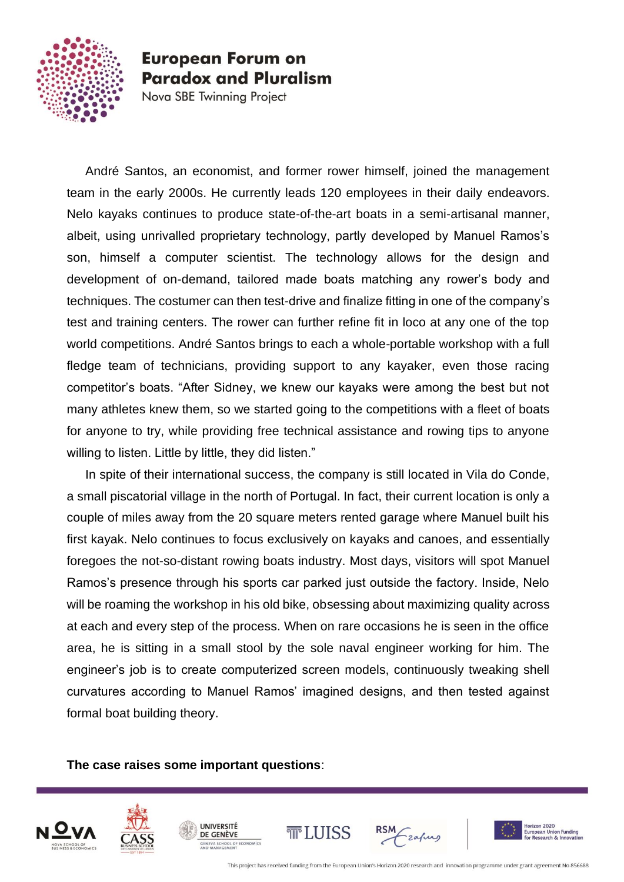

Nova SBE Twinning Project

André Santos, an economist, and former rower himself, joined the management team in the early 2000s. He currently leads 120 employees in their daily endeavors. Nelo kayaks continues to produce state-of-the-art boats in a semi-artisanal manner, albeit, using unrivalled proprietary technology, partly developed by Manuel Ramos's son, himself a computer scientist. The technology allows for the design and development of on-demand, tailored made boats matching any rower's body and techniques. The costumer can then test-drive and finalize fitting in one of the company's test and training centers. The rower can further refine fit in loco at any one of the top world competitions. André Santos brings to each a whole-portable workshop with a full fledge team of technicians, providing support to any kayaker, even those racing competitor's boats. "After Sidney, we knew our kayaks were among the best but not many athletes knew them, so we started going to the competitions with a fleet of boats for anyone to try, while providing free technical assistance and rowing tips to anyone willing to listen. Little by little, they did listen."

In spite of their international success, the company is still located in Vila do Conde, a small piscatorial village in the north of Portugal. In fact, their current location is only a couple of miles away from the 20 square meters rented garage where Manuel built his first kayak. Nelo continues to focus exclusively on kayaks and canoes, and essentially foregoes the not-so-distant rowing boats industry. Most days, visitors will spot Manuel Ramos's presence through his sports car parked just outside the factory. Inside, Nelo will be roaming the workshop in his old bike, obsessing about maximizing quality across at each and every step of the process. When on rare occasions he is seen in the office area, he is sitting in a small stool by the sole naval engineer working for him. The engineer's job is to create computerized screen models, continuously tweaking shell curvatures according to Manuel Ramos' imagined designs, and then tested against formal boat building theory.

**The case raises some important questions**:











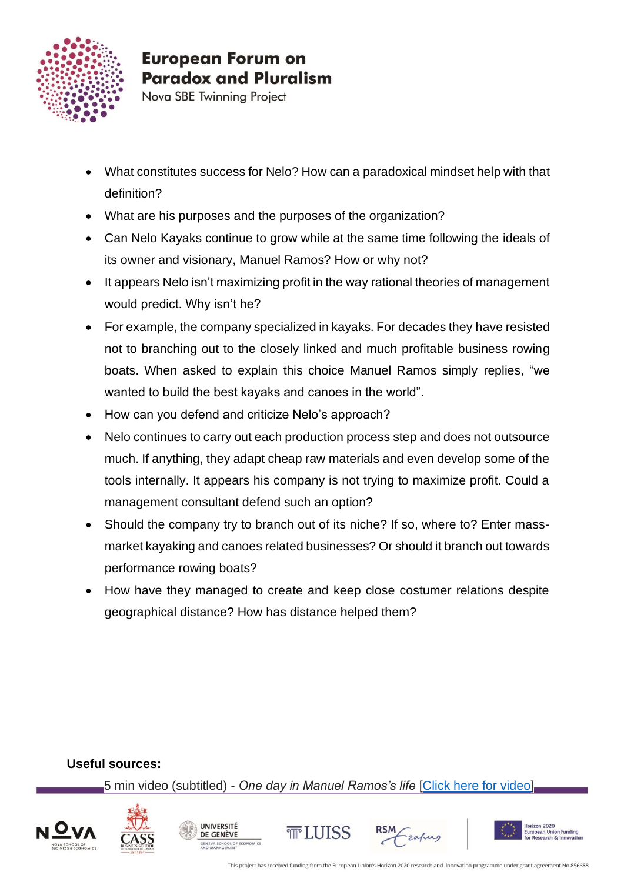

Nova SBE Twinning Project

- What constitutes success for Nelo? How can a paradoxical mindset help with that definition?
- What are his purposes and the purposes of the organization?
- Can Nelo Kayaks continue to grow while at the same time following the ideals of its owner and visionary, Manuel Ramos? How or why not?
- It appears Nelo isn't maximizing profit in the way rational theories of management would predict. Why isn't he?
- For example, the company specialized in kayaks. For decades they have resisted not to branching out to the closely linked and much profitable business rowing boats. When asked to explain this choice Manuel Ramos simply replies, "we wanted to build the best kayaks and canoes in the world".
- How can you defend and criticize Nelo's approach?
- Nelo continues to carry out each production process step and does not outsource much. If anything, they adapt cheap raw materials and even develop some of the tools internally. It appears his company is not trying to maximize profit. Could a management consultant defend such an option?
- Should the company try to branch out of its niche? If so, where to? Enter massmarket kayaking and canoes related businesses? Or should it branch out towards performance rowing boats?
- How have they managed to create and keep close costumer relations despite geographical distance? How has distance helped them?

#### **Useful sources:**

5 min video (subtitled) - *One day in Manuel Ramos's life* [\[Click here for video\]](https://www.youtube.com/watch?v=_7WEvQRtPC0)

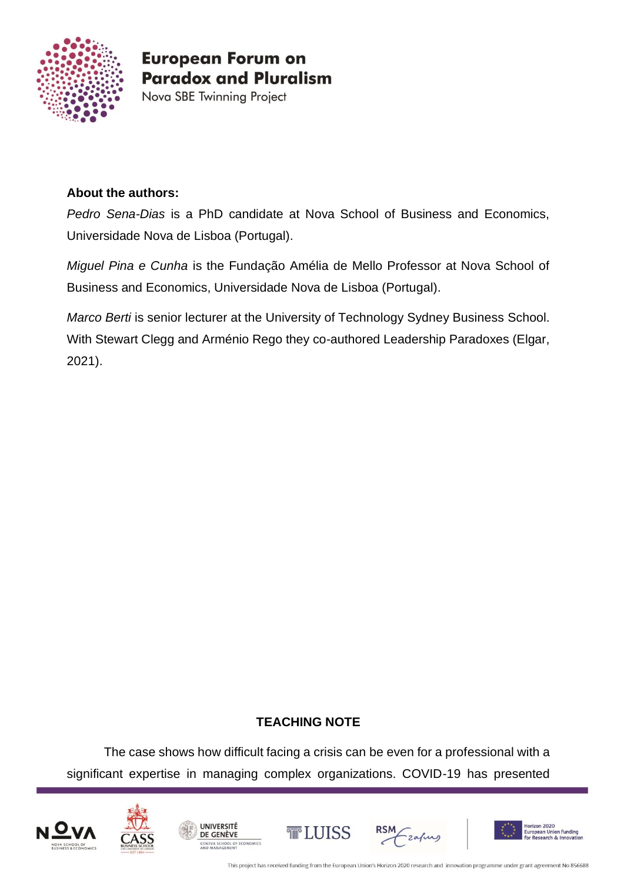

Nova SBE Twinning Project

#### **About the authors:**

*Pedro Sena-Dias* is a PhD candidate at Nova School of Business and Economics, Universidade Nova de Lisboa (Portugal).

*Miguel Pina e Cunha* is the Fundação Amélia de Mello Professor at Nova School of Business and Economics, Universidade Nova de Lisboa (Portugal).

*Marco Berti* is senior lecturer at the University of Technology Sydney Business School. With Stewart Clegg and Arménio Rego they co-authored Leadership Paradoxes (Elgar, 2021).

#### **TEACHING NOTE**

The case shows how difficult facing a crisis can be even for a professional with a significant expertise in managing complex organizations. COVID-19 has presented